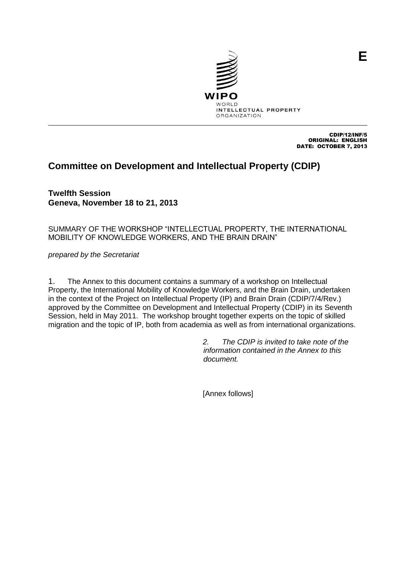

CDIP/12/INF/5 ORIGINAL: ENGLISH DATE: OCTOBER 7, 2013

# **Committee on Development and Intellectual Property (CDIP)**

**Twelfth Session Geneva, November 18 to 21, 2013**

SUMMARY OF THE WORKSHOP "INTELLECTUAL PROPERTY, THE INTERNATIONAL MOBILITY OF KNOWLEDGE WORKERS, AND THE BRAIN DRAIN"

*prepared by the Secretariat* 

1. The Annex to this document contains a summary of a workshop on Intellectual Property, the International Mobility of Knowledge Workers, and the Brain Drain, undertaken in the context of the Project on Intellectual Property (IP) and Brain Drain (CDIP/7/4/Rev.) approved by the Committee on Development and Intellectual Property (CDIP) in its Seventh Session, held in May 2011. The workshop brought together experts on the topic of skilled migration and the topic of IP, both from academia as well as from international organizations.

> *2. The CDIP is invited to take note of the information contained in the Annex to this document.*

[Annex follows]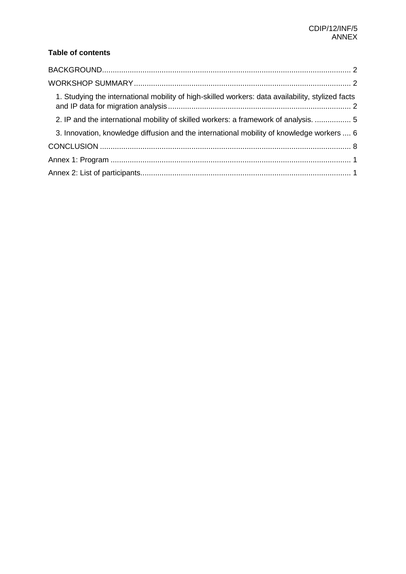## **Table of contents**

| 1. Studying the international mobility of high-skilled workers: data availability, stylized facts |  |
|---------------------------------------------------------------------------------------------------|--|
| 2. IP and the international mobility of skilled workers: a framework of analysis.  5              |  |
| 3. Innovation, knowledge diffusion and the international mobility of knowledge workers  6         |  |
|                                                                                                   |  |
|                                                                                                   |  |
|                                                                                                   |  |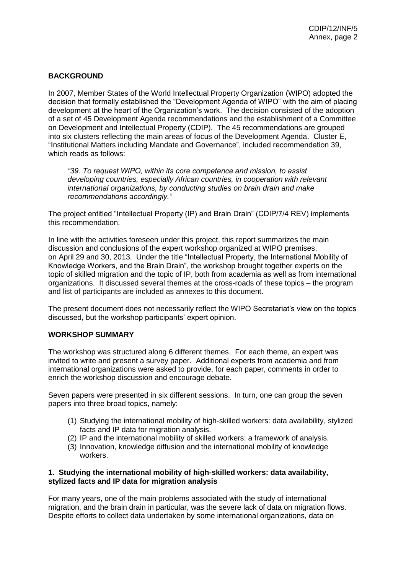## <span id="page-2-0"></span>**BACKGROUND**

In 2007, Member States of the World Intellectual Property Organization (WIPO) adopted the decision that formally established the "Development Agenda of WIPO" with the aim of placing development at the heart of the Organization's work. The decision consisted of the adoption of a set of 45 Development Agenda recommendations and the establishment of a Committee on Development and Intellectual Property (CDIP). The 45 recommendations are grouped into six clusters reflecting the main areas of focus of the Development Agenda. Cluster E, "Institutional Matters including Mandate and Governance", included recommendation 39, which reads as follows:

*"39. To request WIPO, within its core competence and mission, to assist developing countries, especially African countries, in cooperation with relevant international organizations, by conducting studies on brain drain and make recommendations accordingly."*

The project entitled "Intellectual Property (IP) and Brain Drain" (CDIP/7/4 REV) implements this recommendation.

In line with the activities foreseen under this project, this report summarizes the main discussion and conclusions of the expert workshop organized at WIPO premises, on April 29 and 30, 2013. Under the title "Intellectual Property, the International Mobility of Knowledge Workers, and the Brain Drain", the workshop brought together experts on the topic of skilled migration and the topic of IP, both from academia as well as from international organizations. It discussed several themes at the cross-roads of these topics – the program and list of participants are included as annexes to this document.

The present document does not necessarily reflect the WIPO Secretariat's view on the topics discussed, but the workshop participants' expert opinion.

#### <span id="page-2-1"></span>**WORKSHOP SUMMARY**

The workshop was structured along 6 different themes. For each theme, an expert was invited to write and present a survey paper. Additional experts from academia and from international organizations were asked to provide, for each paper, comments in order to enrich the workshop discussion and encourage debate.

Seven papers were presented in six different sessions. In turn, one can group the seven papers into three broad topics, namely:

- (1) Studying the international mobility of high-skilled workers: data availability, stylized facts and IP data for migration analysis.
- (2) IP and the international mobility of skilled workers: a framework of analysis.
- (3) Innovation, knowledge diffusion and the international mobility of knowledge workers.

#### <span id="page-2-2"></span>**1. Studying the international mobility of high-skilled workers: data availability, stylized facts and IP data for migration analysis**

For many years, one of the main problems associated with the study of international migration, and the brain drain in particular, was the severe lack of data on migration flows. Despite efforts to collect data undertaken by some international organizations, data on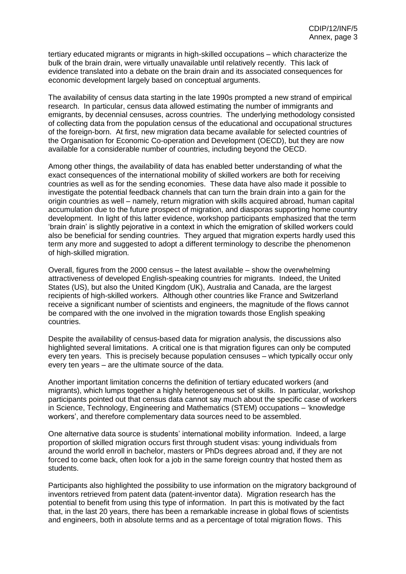tertiary educated migrants or migrants in high-skilled occupations – which characterize the bulk of the brain drain, were virtually unavailable until relatively recently. This lack of evidence translated into a debate on the brain drain and its associated consequences for economic development largely based on conceptual arguments.

The availability of census data starting in the late 1990s prompted a new strand of empirical research. In particular, census data allowed estimating the number of immigrants and emigrants, by decennial censuses, across countries. The underlying methodology consisted of collecting data from the population census of the educational and occupational structures of the foreign-born. At first, new migration data became available for selected countries of the Organisation for Economic Co-operation and Development (OECD), but they are now available for a considerable number of countries, including beyond the OECD.

Among other things, the availability of data has enabled better understanding of what the exact consequences of the international mobility of skilled workers are both for receiving countries as well as for the sending economies. These data have also made it possible to investigate the potential feedback channels that can turn the brain drain into a gain for the origin countries as well – namely, return migration with skills acquired abroad, human capital accumulation due to the future prospect of migration, and diasporas supporting home country development. In light of this latter evidence, workshop participants emphasized that the term 'brain drain' is slightly pejorative in a context in which the emigration of skilled workers could also be beneficial for sending countries. They argued that migration experts hardly used this term any more and suggested to adopt a different terminology to describe the phenomenon of high-skilled migration.

Overall, figures from the 2000 census – the latest available – show the overwhelming attractiveness of developed English-speaking countries for migrants. Indeed, the United States (US), but also the United Kingdom (UK), Australia and Canada, are the largest recipients of high-skilled workers. Although other countries like France and Switzerland receive a significant number of scientists and engineers, the magnitude of the flows cannot be compared with the one involved in the migration towards those English speaking countries.

Despite the availability of census-based data for migration analysis, the discussions also highlighted several limitations. A critical one is that migration figures can only be computed every ten years. This is precisely because population censuses – which typically occur only every ten years – are the ultimate source of the data.

Another important limitation concerns the definition of tertiary educated workers (and migrants), which lumps together a highly heterogeneous set of skills. In particular, workshop participants pointed out that census data cannot say much about the specific case of workers in Science, Technology, Engineering and Mathematics (STEM) occupations – 'knowledge workers', and therefore complementary data sources need to be assembled.

One alternative data source is students' international mobility information. Indeed, a large proportion of skilled migration occurs first through student visas: young individuals from around the world enroll in bachelor, masters or PhDs degrees abroad and, if they are not forced to come back, often look for a job in the same foreign country that hosted them as students.

Participants also highlighted the possibility to use information on the migratory background of inventors retrieved from patent data (patent-inventor data). Migration research has the potential to benefit from using this type of information. In part this is motivated by the fact that, in the last 20 years, there has been a remarkable increase in global flows of scientists and engineers, both in absolute terms and as a percentage of total migration flows. This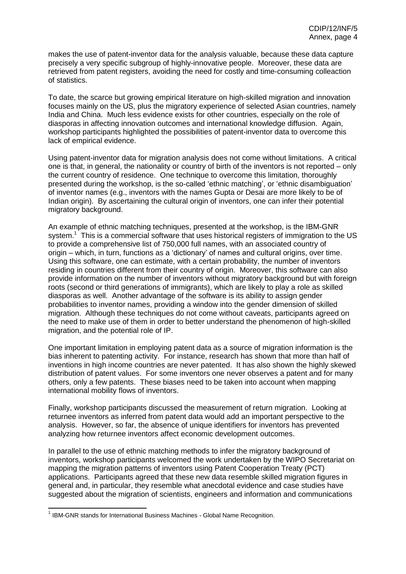makes the use of patent-inventor data for the analysis valuable, because these data capture precisely a very specific subgroup of highly-innovative people. Moreover, these data are retrieved from patent registers, avoiding the need for costly and time-consuming colleaction of statistics.

To date, the scarce but growing empirical literature on high-skilled migration and innovation focuses mainly on the US, plus the migratory experience of selected Asian countries, namely India and China. Much less evidence exists for other countries, especially on the role of diasporas in affecting innovation outcomes and international knowledge diffusion. Again, workshop participants highlighted the possibilities of patent-inventor data to overcome this lack of empirical evidence.

Using patent-inventor data for migration analysis does not come without limitations. A critical one is that, in general, the nationality or country of birth of the inventors is not reported – only the current country of residence. One technique to overcome this limitation, thoroughly presented during the workshop, is the so-called 'ethnic matching', or 'ethnic disambiguation' of inventor names (e.g., inventors with the names Gupta or Desai are more likely to be of Indian origin). By ascertaining the cultural origin of inventors, one can infer their potential migratory background.

An example of ethnic matching techniques, presented at the workshop, is the IBM-GNR system.<sup>1</sup> This is a commercial software that uses historical registers of immigration to the US to provide a comprehensive list of 750,000 full names, with an associated country of origin – which, in turn, functions as a 'dictionary' of names and cultural origins, over time. Using this software, one can estimate, with a certain probability, the number of inventors residing in countries different from their country of origin. Moreover, this software can also provide information on the number of inventors without migratory background but with foreign roots (second or third generations of immigrants), which are likely to play a role as skilled diasporas as well. Another advantage of the software is its ability to assign gender probabilities to inventor names, providing a window into the gender dimension of skilled migration. Although these techniques do not come without caveats, participants agreed on the need to make use of them in order to better understand the phenomenon of high-skilled migration, and the potential role of IP.

One important limitation in employing patent data as a source of migration information is the bias inherent to patenting activity. For instance, research has shown that more than half of inventions in high income countries are never patented. It has also shown the highly skewed distribution of patent values. For some inventors one never observes a patent and for many others, only a few patents. These biases need to be taken into account when mapping international mobility flows of inventors.

Finally, workshop participants discussed the measurement of return migration. Looking at returnee inventors as inferred from patent data would add an important perspective to the analysis. However, so far, the absence of unique identifiers for inventors has prevented analyzing how returnee inventors affect economic development outcomes.

In parallel to the use of ethnic matching methods to infer the migratory background of inventors, workshop participants welcomed the work undertaken by the WIPO Secretariat on mapping the migration patterns of inventors using Patent Cooperation Treaty (PCT) applications. Participants agreed that these new data resemble skilled migration figures in general and, in particular, they resemble what anecdotal evidence and case studies have suggested about the migration of scientists, engineers and information and communications

 1 IBM-GNR stands for International Business Machines - Global Name Recognition.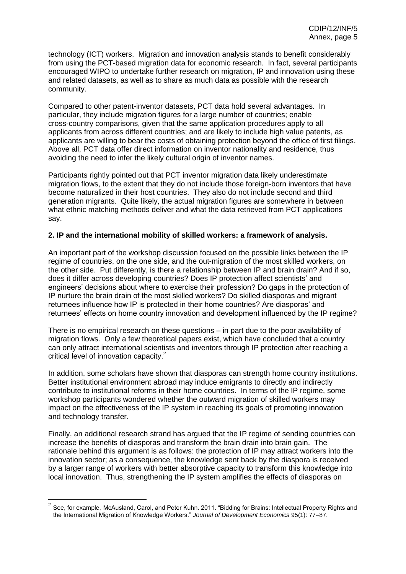technology (ICT) workers. Migration and innovation analysis stands to benefit considerably from using the PCT-based migration data for economic research. In fact, several participants encouraged WIPO to undertake further research on migration, IP and innovation using these and related datasets, as well as to share as much data as possible with the research community.

Compared to other patent-inventor datasets, PCT data hold several advantages. In particular, they include migration figures for a large number of countries; enable cross-country comparisons, given that the same application procedures apply to all applicants from across different countries; and are likely to include high value patents, as applicants are willing to bear the costs of obtaining protection beyond the office of first filings. Above all, PCT data offer direct information on inventor nationality and residence, thus avoiding the need to infer the likely cultural origin of inventor names.

Participants rightly pointed out that PCT inventor migration data likely underestimate migration flows, to the extent that they do not include those foreign-born inventors that have become naturalized in their host countries. They also do not include second and third generation migrants. Quite likely, the actual migration figures are somewhere in between what ethnic matching methods deliver and what the data retrieved from PCT applications say.

## <span id="page-5-0"></span>**2. IP and the international mobility of skilled workers: a framework of analysis.**

An important part of the workshop discussion focused on the possible links between the IP regime of countries, on the one side, and the out-migration of the most skilled workers, on the other side. Put differently, is there a relationship between IP and brain drain? And if so, does it differ across developing countries? Does IP protection affect scientists' and engineers' decisions about where to exercise their profession? Do gaps in the protection of IP nurture the brain drain of the most skilled workers? Do skilled diasporas and migrant returnees influence how IP is protected in their home countries? Are diasporas' and returnees' effects on home country innovation and development influenced by the IP regime?

There is no empirical research on these questions – in part due to the poor availability of migration flows. Only a few theoretical papers exist, which have concluded that a country can only attract international scientists and inventors through IP protection after reaching a critical level of innovation capacity.<sup>2</sup>

In addition, some scholars have shown that diasporas can strength home country institutions. Better institutional environment abroad may induce emigrants to directly and indirectly contribute to institutional reforms in their home countries. In terms of the IP regime, some workshop participants wondered whether the outward migration of skilled workers may impact on the effectiveness of the IP system in reaching its goals of promoting innovation and technology transfer.

Finally, an additional research strand has argued that the IP regime of sending countries can increase the benefits of diasporas and transform the brain drain into brain gain. The rationale behind this argument is as follows: the protection of IP may attract workers into the innovation sector; as a consequence, the knowledge sent back by the diaspora is received by a larger range of workers with better absorptive capacity to transform this knowledge into local innovation. Thus, strengthening the IP system amplifies the effects of diasporas on

1

<sup>2</sup> See, for example, McAusland, Carol, and Peter Kuhn. 2011. "Bidding for Brains: Intellectual Property Rights and the International Migration of Knowledge Workers." *Journal of Development Economics* 95(1): 77–87.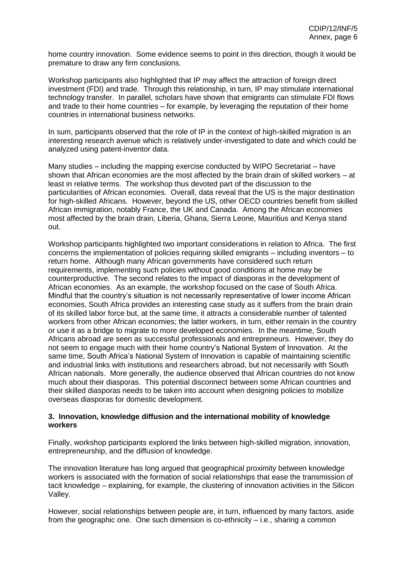home country innovation. Some evidence seems to point in this direction, though it would be premature to draw any firm conclusions.

Workshop participants also highlighted that IP may affect the attraction of foreign direct investment (FDI) and trade. Through this relationship, in turn, IP may stimulate international technology transfer. In parallel, scholars have shown that emigrants can stimulate FDI flows and trade to their home countries – for example, by leveraging the reputation of their home countries in international business networks.

In sum, participants observed that the role of IP in the context of high-skilled migration is an interesting research avenue which is relatively under-investigated to date and which could be analyzed using patent-inventor data.

Many studies – including the mapping exercise conducted by WIPO Secretariat – have shown that African economies are the most affected by the brain drain of skilled workers – at least in relative terms. The workshop thus devoted part of the discussion to the particularities of African economies. Overall, data reveal that the US is the major destination for high-skilled Africans. However, beyond the US, other OECD countries benefit from skilled African immigration, notably France, the UK and Canada. Among the African economies most affected by the brain drain, Liberia, Ghana, Sierra Leone, Mauritius and Kenya stand out.

Workshop participants highlighted two important considerations in relation to Africa. The first concerns the implementation of policies requiring skilled emigrants – including inventors – to return home. Although many African governments have considered such return requirements, implementing such policies without good conditions at home may be counterproductive. The second relates to the impact of diasporas in the development of African economies. As an example, the workshop focused on the case of South Africa. Mindful that the country's situation is not necessarily representative of lower income African economies, South Africa provides an interesting case study as it suffers from the brain drain of its skilled labor force but, at the same time, it attracts a considerable number of talented workers from other African economies; the latter workers, in turn, either remain in the country or use it as a bridge to migrate to more developed economies. In the meantime, South Africans abroad are seen as successful professionals and entrepreneurs. However, they do not seem to engage much with their home country's National System of Innovation. At the same time, South Africa's National System of Innovation is capable of maintaining scientific and industrial links with institutions and researchers abroad, but not necessarily with South African nationals. More generally, the audience observed that African countries do not know much about their diasporas. This potential disconnect between some African countries and their skilled diasporas needs to be taken into account when designing policies to mobilize overseas diasporas for domestic development.

#### <span id="page-6-0"></span>**3. Innovation, knowledge diffusion and the international mobility of knowledge workers**

Finally, workshop participants explored the links between high-skilled migration, innovation, entrepreneurship, and the diffusion of knowledge.

The innovation literature has long argued that geographical proximity between knowledge workers is associated with the formation of social relationships that ease the transmission of tacit knowledge – explaining, for example, the clustering of innovation activities in the Silicon Valley.

However, social relationships between people are, in turn, influenced by many factors, aside from the geographic one. One such dimension is co-ethnicity – i.e., sharing a common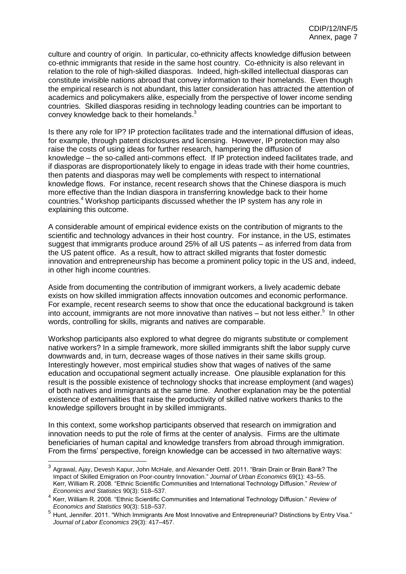culture and country of origin. In particular, co-ethnicity affects knowledge diffusion between co-ethnic immigrants that reside in the same host country. Co-ethnicity is also relevant in relation to the role of high-skilled diasporas. Indeed, high-skilled intellectual diasporas can constitute invisible nations abroad that convey information to their homelands. Even though the empirical research is not abundant, this latter consideration has attracted the attention of academics and policymakers alike, especially from the perspective of lower income sending countries. Skilled diasporas residing in technology leading countries can be important to convey knowledge back to their homelands.<sup>3</sup>

Is there any role for IP? IP protection facilitates trade and the international diffusion of ideas, for example, through patent disclosures and licensing. However, IP protection may also raise the costs of using ideas for further research, hampering the diffusion of knowledge – the so-called anti-commons effect. If IP protection indeed facilitates trade, and if diasporas are disproportionately likely to engage in ideas trade with their home countries, then patents and diasporas may well be complements with respect to international knowledge flows. For instance, recent research shows that the Chinese diaspora is much more effective than the Indian diaspora in transferring knowledge back to their home countries. <sup>4</sup> Workshop participants discussed whether the IP system has any role in explaining this outcome.

A considerable amount of empirical evidence exists on the contribution of migrants to the scientific and technology advances in their host country. For instance, in the US, estimates suggest that immigrants produce around 25% of all US patents – as inferred from data from the US patent office. As a result, how to attract skilled migrants that foster domestic innovation and entrepreneurship has become a prominent policy topic in the US and, indeed, in other high income countries.

Aside from documenting the contribution of immigrant workers, a lively academic debate exists on how skilled immigration affects innovation outcomes and economic performance. For example, recent research seems to show that once the educational background is taken into account, immigrants are not more innovative than natives – but not less either.<sup>5</sup> In other words, controlling for skills, migrants and natives are comparable.

Workshop participants also explored to what degree do migrants substitute or complement native workers? In a simple framework, more skilled immigrants shift the labor supply curve downwards and, in turn, decrease wages of those natives in their same skills group. Interestingly however, most empirical studies show that wages of natives of the same education and occupational segment actually increase. One plausible explanation for this result is the possible existence of technology shocks that increase employment (and wages) of both natives and immigrants at the same time. Another explanation may be the potential existence of externalities that raise the productivity of skilled native workers thanks to the knowledge spillovers brought in by skilled immigrants.

In this context, some workshop participants observed that research on immigration and innovation needs to put the role of firms at the center of analysis. Firms are the ultimate beneficiaries of human capital and knowledge transfers from abroad through immigration. From the firms' perspective, foreign knowledge can be accessed in two alternative ways:

-

<sup>3</sup> Agrawal, Ajay, Devesh Kapur, John McHale, and Alexander Oettl. 2011. "Brain Drain or Brain Bank? The Impact of Skilled Emigration on Poor-country Innovation." *Journal of Urban Economics* 69(1): 43–55. Kerr, William R. 2008. "Ethnic Scientific Communities and International Technology Diffusion." *Review of Economics and Statistics* 90(3): 518–537.

<sup>4</sup> Kerr, William R. 2008. "Ethnic Scientific Communities and International Technology Diffusion." *Review of Economics and Statistics* 90(3): 518–537.

<sup>5</sup> Hunt, Jennifer. 2011. "Which Immigrants Are Most Innovative and Entrepreneurial? Distinctions by Entry Visa." *Journal of Labor Economics* 29(3): 417–457.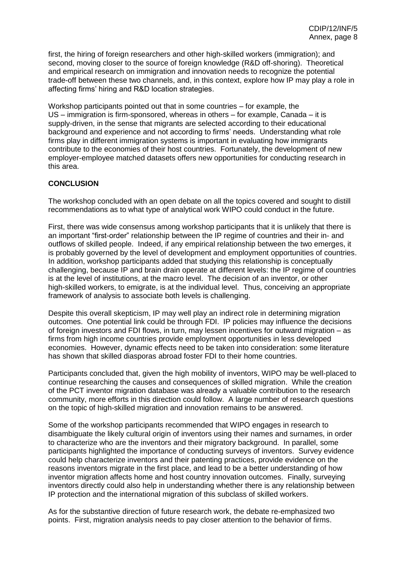first, the hiring of foreign researchers and other high-skilled workers (immigration); and second, moving closer to the source of foreign knowledge (R&D off-shoring). Theoretical and empirical research on immigration and innovation needs to recognize the potential trade-off between these two channels, and, in this context, explore how IP may play a role in affecting firms' hiring and R&D location strategies.

Workshop participants pointed out that in some countries – for example, the US – immigration is firm-sponsored, whereas in others – for example, Canada – it is supply-driven, in the sense that migrants are selected according to their educational background and experience and not according to firms' needs. Understanding what role firms play in different immigration systems is important in evaluating how immigrants contribute to the economies of their host countries. Fortunately, the development of new employer-employee matched datasets offers new opportunities for conducting research in this area.

## <span id="page-8-0"></span>**CONCLUSION**

The workshop concluded with an open debate on all the topics covered and sought to distill recommendations as to what type of analytical work WIPO could conduct in the future.

First, there was wide consensus among workshop participants that it is unlikely that there is an important "first-order" relationship between the IP regime of countries and their in- and outflows of skilled people. Indeed, if any empirical relationship between the two emerges, it is probably governed by the level of development and employment opportunities of countries. In addition, workshop participants added that studying this relationship is conceptually challenging, because IP and brain drain operate at different levels: the IP regime of countries is at the level of institutions, at the macro level. The decision of an inventor, or other high-skilled workers, to emigrate, is at the individual level. Thus, conceiving an appropriate framework of analysis to associate both levels is challenging.

Despite this overall skepticism, IP may well play an indirect role in determining migration outcomes. One potential link could be through FDI. IP policies may influence the decisions of foreign investors and FDI flows, in turn, may lessen incentives for outward migration – as firms from high income countries provide employment opportunities in less developed economies. However, dynamic effects need to be taken into consideration: some literature has shown that skilled diasporas abroad foster FDI to their home countries.

Participants concluded that, given the high mobility of inventors, WIPO may be well-placed to continue researching the causes and consequences of skilled migration. While the creation of the PCT inventor migration database was already a valuable contribution to the research community, more efforts in this direction could follow. A large number of research questions on the topic of high-skilled migration and innovation remains to be answered.

Some of the workshop participants recommended that WIPO engages in research to disambiguate the likely cultural origin of inventors using their names and surnames, in order to characterize who are the inventors and their migratory background. In parallel, some participants highlighted the importance of conducting surveys of inventors. Survey evidence could help characterize inventors and their patenting practices, provide evidence on the reasons inventors migrate in the first place, and lead to be a better understanding of how inventor migration affects home and host country innovation outcomes. Finally, surveying inventors directly could also help in understanding whether there is any relationship between IP protection and the international migration of this subclass of skilled workers.

As for the substantive direction of future research work, the debate re-emphasized two points. First, migration analysis needs to pay closer attention to the behavior of firms.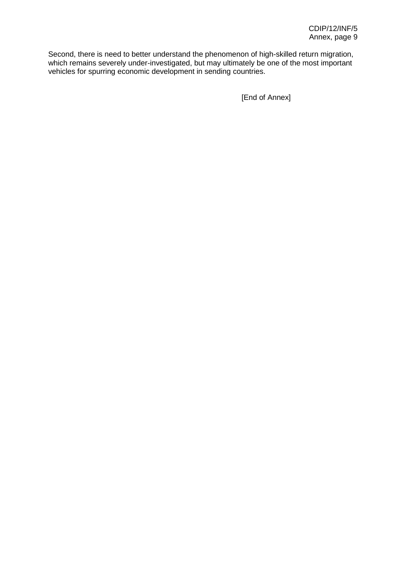Second, there is need to better understand the phenomenon of high-skilled return migration, which remains severely under-investigated, but may ultimately be one of the most important vehicles for spurring economic development in sending countries.

[End of Annex]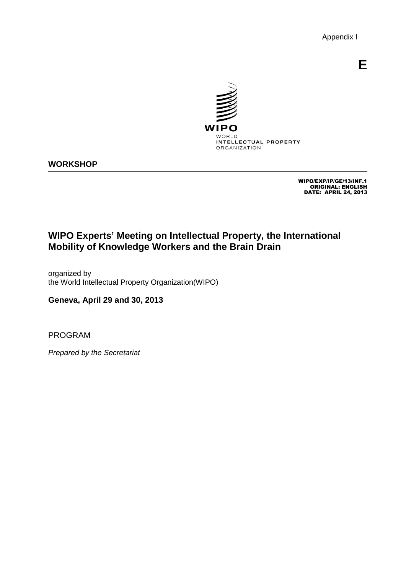Appendix I

**E**



## **WORKSHOP**

WIPO/EXP/IP/GE/13/INF.1 ORIGINAL: ENGLISH DATE: APRIL 24, 2013

# **WIPO Experts' Meeting on Intellectual Property, the International Mobility of Knowledge Workers and the Brain Drain**

organized by the World Intellectual Property Organization(WIPO)

**Geneva, April 29 and 30, 2013**

<span id="page-10-0"></span>PROGRAM

*Prepared by the Secretariat*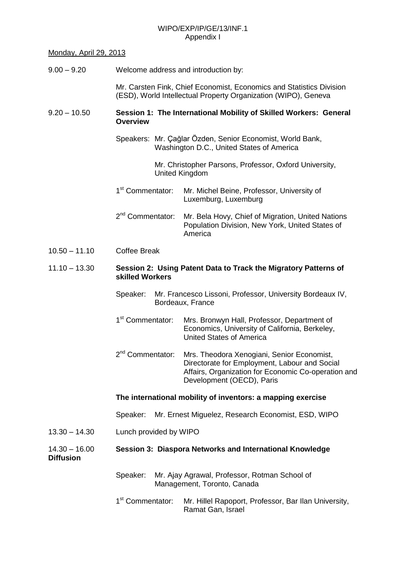## WIPO/EXP/IP/GE/13/INF.1 Appendix I

## Monday, April 29, 2013

| $9.00 - 9.20$                       | Welcome address and introduction by:                                                                                                   |                                                                                                                                                                                 |  |  |
|-------------------------------------|----------------------------------------------------------------------------------------------------------------------------------------|---------------------------------------------------------------------------------------------------------------------------------------------------------------------------------|--|--|
|                                     | Mr. Carsten Fink, Chief Economist, Economics and Statistics Division<br>(ESD), World Intellectual Property Organization (WIPO), Geneva |                                                                                                                                                                                 |  |  |
| $9.20 - 10.50$                      | Session 1: The International Mobility of Skilled Workers: General<br><b>Overview</b>                                                   |                                                                                                                                                                                 |  |  |
|                                     | Speakers: Mr. Çağlar Özden, Senior Economist, World Bank,<br>Washington D.C., United States of America                                 |                                                                                                                                                                                 |  |  |
|                                     | Mr. Christopher Parsons, Professor, Oxford University,<br><b>United Kingdom</b>                                                        |                                                                                                                                                                                 |  |  |
|                                     | 1 <sup>st</sup> Commentator:                                                                                                           | Mr. Michel Beine, Professor, University of<br>Luxemburg, Luxemburg                                                                                                              |  |  |
|                                     | 2 <sup>nd</sup> Commentator:                                                                                                           | Mr. Bela Hovy, Chief of Migration, United Nations<br>Population Division, New York, United States of<br>America                                                                 |  |  |
| $10.50 - 11.10$                     | <b>Coffee Break</b>                                                                                                                    |                                                                                                                                                                                 |  |  |
| $11.10 - 13.30$                     | Session 2: Using Patent Data to Track the Migratory Patterns of<br>skilled Workers                                                     |                                                                                                                                                                                 |  |  |
|                                     | Mr. Francesco Lissoni, Professor, University Bordeaux IV,<br>Speaker:<br>Bordeaux, France                                              |                                                                                                                                                                                 |  |  |
|                                     | 1 <sup>st</sup> Commentator:                                                                                                           | Mrs. Bronwyn Hall, Professor, Department of<br>Economics, University of California, Berkeley,<br><b>United States of America</b>                                                |  |  |
|                                     | 2 <sup>nd</sup> Commentator:                                                                                                           | Mrs. Theodora Xenogiani, Senior Economist,<br>Directorate for Employment, Labour and Social<br>Affairs, Organization for Economic Co-operation and<br>Development (OECD), Paris |  |  |
|                                     | The international mobility of inventors: a mapping exercise                                                                            |                                                                                                                                                                                 |  |  |
|                                     | Mr. Ernest Miguelez, Research Economist, ESD, WIPO<br>Speaker:                                                                         |                                                                                                                                                                                 |  |  |
| $13.30 - 14.30$                     | Lunch provided by WIPO                                                                                                                 |                                                                                                                                                                                 |  |  |
| $14.30 - 16.00$<br><b>Diffusion</b> | Session 3: Diaspora Networks and International Knowledge                                                                               |                                                                                                                                                                                 |  |  |
|                                     | Speaker:                                                                                                                               | Mr. Ajay Agrawal, Professor, Rotman School of<br>Management, Toronto, Canada                                                                                                    |  |  |
|                                     | 1 <sup>st</sup> Commentator:                                                                                                           | Mr. Hillel Rapoport, Professor, Bar Ilan University,<br>Ramat Gan, Israel                                                                                                       |  |  |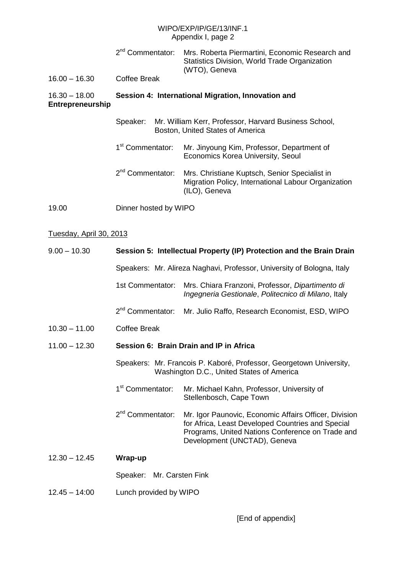## WIPO/EXP/IP/GE/13/INF.1 Appendix I, page 2

| $16.00 - 16.30$                     | 2 <sup>nd</sup> Commentator:<br><b>Coffee Break</b>                                                                                                         | Mrs. Roberta Piermartini, Economic Research and<br>Statistics Division, World Trade Organization<br>(WTO), Geneva     |  |
|-------------------------------------|-------------------------------------------------------------------------------------------------------------------------------------------------------------|-----------------------------------------------------------------------------------------------------------------------|--|
| $16.30 - 18.00$<br>Entrepreneurship | Session 4: International Migration, Innovation and<br>Speaker:<br>Mr. William Kerr, Professor, Harvard Business School,<br>Boston, United States of America |                                                                                                                       |  |
|                                     |                                                                                                                                                             |                                                                                                                       |  |
|                                     | 1 <sup>st</sup> Commentator:                                                                                                                                | Mr. Jinyoung Kim, Professor, Department of<br>Economics Korea University, Seoul                                       |  |
|                                     | 2 <sup>nd</sup> Commentator:                                                                                                                                | Mrs. Christiane Kuptsch, Senior Specialist in<br>Migration Policy, International Labour Organization<br>(ILO), Geneva |  |

19.00 Dinner hosted by WIPO

## Tuesday, April 30, 2013

| $9.00 - 10.30$  |                                                                                                                  | Session 5: Intellectual Property (IP) Protection and the Brain Drain                                                                                                                           |  |
|-----------------|------------------------------------------------------------------------------------------------------------------|------------------------------------------------------------------------------------------------------------------------------------------------------------------------------------------------|--|
|                 | Speakers: Mr. Alireza Naghavi, Professor, University of Bologna, Italy                                           |                                                                                                                                                                                                |  |
|                 | 1st Commentator:                                                                                                 | Mrs. Chiara Franzoni, Professor, Dipartimento di<br>Ingegneria Gestionale, Politecnico di Milano, Italy                                                                                        |  |
|                 | 2 <sup>nd</sup> Commentator:                                                                                     | Mr. Julio Raffo, Research Economist, ESD, WIPO                                                                                                                                                 |  |
| $10.30 - 11.00$ | <b>Coffee Break</b>                                                                                              |                                                                                                                                                                                                |  |
| $11.00 - 12.30$ | Session 6: Brain Drain and IP in Africa                                                                          |                                                                                                                                                                                                |  |
|                 | Speakers: Mr. Francois P. Kaboré, Professor, Georgetown University,<br>Washington D.C., United States of America |                                                                                                                                                                                                |  |
|                 | 1 <sup>st</sup> Commentator:                                                                                     | Mr. Michael Kahn, Professor, University of<br>Stellenbosch, Cape Town                                                                                                                          |  |
|                 | 2 <sup>nd</sup> Commentator:                                                                                     | Mr. Igor Paunovic, Economic Affairs Officer, Division<br>for Africa, Least Developed Countries and Special<br>Programs, United Nations Conference on Trade and<br>Development (UNCTAD), Geneva |  |
| $12.30 - 12.45$ | Wrap-up                                                                                                          |                                                                                                                                                                                                |  |
|                 | Speaker: Mr. Carsten Fink                                                                                        |                                                                                                                                                                                                |  |
| $12.45 - 14:00$ | Lunch provided by WIPO                                                                                           |                                                                                                                                                                                                |  |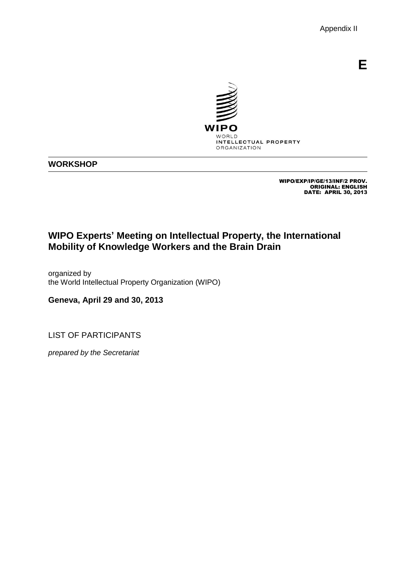Appendix II

**E**



## **WORKSHOP**

WIPO/EXP/IP/GE/13/INF/2 PROV. ORIGINAL: ENGLISH DATE: APRIL 30, 2013

# **WIPO Experts' Meeting on Intellectual Property, the International Mobility of Knowledge Workers and the Brain Drain**

organized by the World Intellectual Property Organization (WIPO)

**Geneva, April 29 and 30, 2013**

<span id="page-13-0"></span>LIST OF PARTICIPANTS

*prepared by the Secretariat*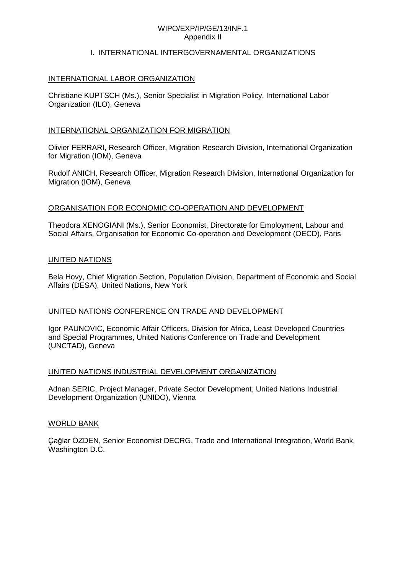#### WIPO/EXP/IP/GE/13/INF.1 Appendix II

#### I. INTERNATIONAL INTERGOVERNAMENTAL ORGANIZATIONS

#### INTERNATIONAL LABOR ORGANIZATION

Christiane KUPTSCH (Ms.), Senior Specialist in Migration Policy, International Labor Organization (ILO), Geneva

#### INTERNATIONAL ORGANIZATION FOR MIGRATION

Olivier FERRARI, Research Officer, Migration Research Division, International Organization for Migration (IOM), Geneva

Rudolf ANICH, Research Officer, Migration Research Division, International Organization for Migration (IOM), Geneva

#### ORGANISATION FOR ECONOMIC CO-OPERATION AND DEVELOPMENT

Theodora XENOGIANI (Ms.), Senior Economist, Directorate for Employment, Labour and Social Affairs, Organisation for Economic Co-operation and Development (OECD), Paris

#### UNITED NATIONS

Bela Hovy, Chief Migration Section, Population Division, Department of Economic and Social Affairs (DESA), United Nations, New York

## UNITED NATIONS CONFERENCE ON TRADE AND DEVELOPMENT

Igor PAUNOVIC, Economic Affair Officers, Division for Africa, Least Developed Countries and Special Programmes, United Nations Conference on Trade and Development (UNCTAD), Geneva

## UNITED NATIONS INDUSTRIAL DEVELOPMENT ORGANIZATION

Adnan SERIC, Project Manager, Private Sector Development, United Nations Industrial Development Organization (UNIDO), Vienna

#### WORLD BANK

Çağlar ÖZDEN, Senior Economist DECRG, Trade and International Integration, World Bank, Washington D.C.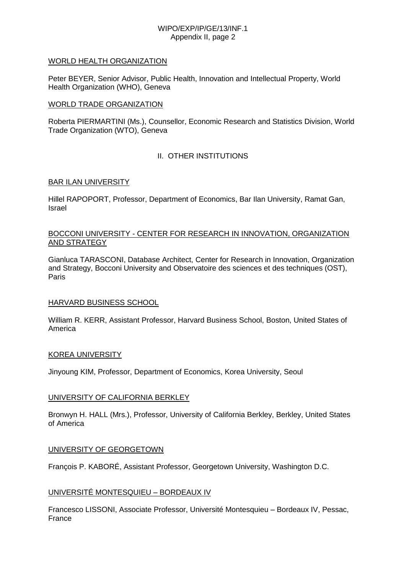## WIPO/EXP/IP/GE/13/INF.1 Appendix II, page 2

### WORLD HEALTH ORGANIZATION

Peter BEYER, Senior Advisor, Public Health, Innovation and Intellectual Property, World Health Organization (WHO), Geneva

### WORLD TRADE ORGANIZATION

Roberta PIERMARTINI (Ms.), Counsellor, Economic Research and Statistics Division, World Trade Organization (WTO), Geneva

## II. OTHER INSTITUTIONS

## BAR ILAN UNIVERSITY

Hillel RAPOPORT, Professor, Department of Economics, Bar Ilan University, Ramat Gan, Israel

## BOCCONI UNIVERSITY - CENTER FOR RESEARCH IN INNOVATION, ORGANIZATION AND STRATEGY

Gianluca TARASCONI, Database Architect, Center for Research in Innovation, Organization and Strategy, Bocconi University and Observatoire des sciences et des techniques (OST), Paris

## HARVARD BUSINESS SCHOOL

William R. KERR, Assistant Professor, Harvard Business School, Boston, United States of America

#### KOREA UNIVERSITY

Jinyoung KIM, Professor, Department of Economics, Korea University, Seoul

## UNIVERSITY OF CALIFORNIA BERKLEY

Bronwyn H. HALL (Mrs.), Professor, University of California Berkley, Berkley, United States of America

#### UNIVERSITY OF GEORGETOWN

François P. KABORÉ, Assistant Professor, Georgetown University, Washington D.C.

## UNIVERSITÉ MONTESQUIEU – BORDEAUX IV

Francesco LISSONI, Associate Professor, Université Montesquieu – Bordeaux IV, Pessac, France